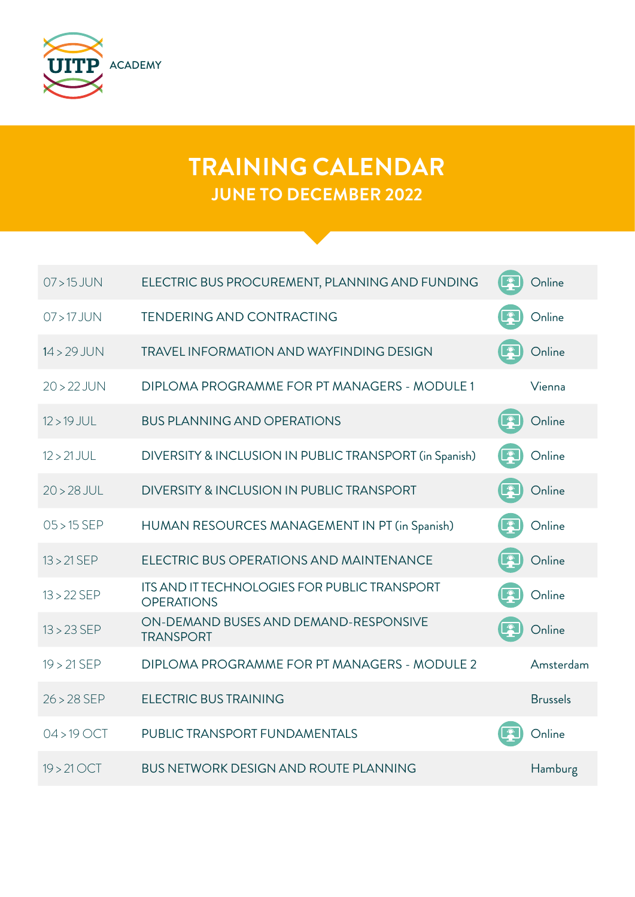

## **TRAINING CALENDAR JUNE TO DECEMBER 2022**

| $07 > 15$ JUN | ELECTRIC BUS PROCUREMENT, PLANNING AND FUNDING                    | Online          |
|---------------|-------------------------------------------------------------------|-----------------|
| $07 > 17$ JUN | <b>TENDERING AND CONTRACTING</b>                                  | Online          |
| $14 > 29$ JUN | <b>TRAVEL INFORMATION AND WAYFINDING DESIGN</b>                   | Online          |
| $20 > 22$ JUN | DIPLOMA PROGRAMME FOR PT MANAGERS - MODULE 1                      | Vienna          |
| $12 > 19$ JUL | <b>BUS PLANNING AND OPERATIONS</b>                                | Online          |
| $12 > 21$ JUL | DIVERSITY & INCLUSION IN PUBLIC TRANSPORT (in Spanish)            | Online          |
| $20 > 28$ JUL | DIVERSITY & INCLUSION IN PUBLIC TRANSPORT                         | Online          |
| $05 > 15$ SEP | HUMAN RESOURCES MANAGEMENT IN PT (in Spanish)                     | Online          |
| $13 > 21$ SEP | ELECTRIC BUS OPERATIONS AND MAINTENANCE                           | Online          |
| $13 > 22$ SEP | ITS AND IT TECHNOLOGIES FOR PUBLIC TRANSPORT<br><b>OPERATIONS</b> | Online          |
| $13 > 23$ SEP | ON-DEMAND BUSES AND DEMAND-RESPONSIVE<br><b>TRANSPORT</b>         | Online          |
| $19 > 21$ SEP | DIPLOMA PROGRAMME FOR PT MANAGERS - MODULE 2                      | Amsterdam       |
| $26 > 28$ SEP | <b>ELECTRIC BUS TRAINING</b>                                      | <b>Brussels</b> |
| $04 > 19$ OCT | PUBLIC TRANSPORT FUNDAMENTALS                                     | Online          |
| $19 > 21$ OCT | <b>BUS NETWORK DESIGN AND ROUTE PLANNING</b>                      | Hamburg         |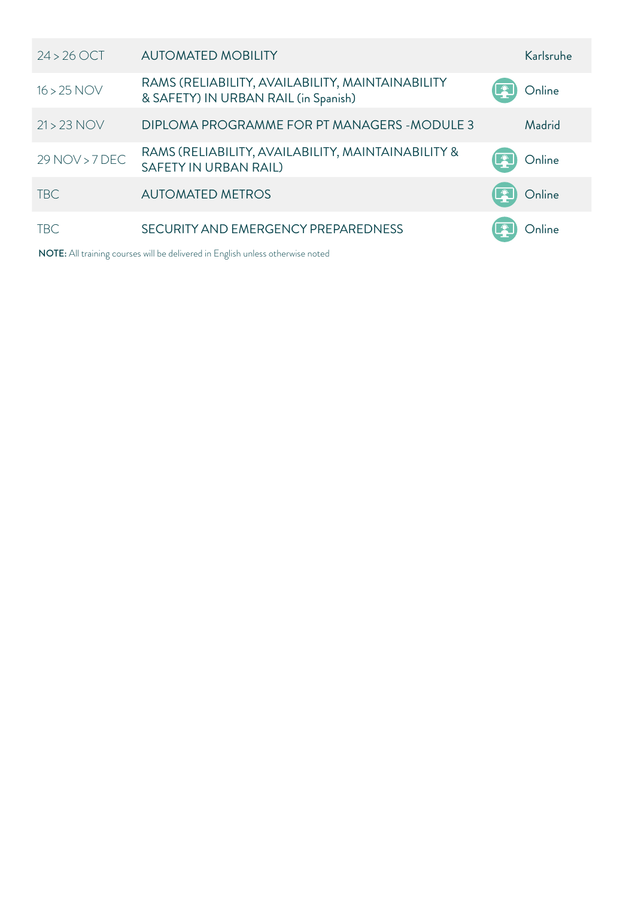| $24 > 26$ OCT  | <b>AUTOMATED MOBILITY</b>                                                                | Karlsruhe |
|----------------|------------------------------------------------------------------------------------------|-----------|
| $16 > 25$ NOV  | RAMS (RELIABILITY, AVAILABILITY, MAINTAINABILITY<br>& SAFETY) IN URBAN RAIL (in Spanish) | Online    |
| $21 > 23$ NOV  | DIPLOMA PROGRAMME FOR PT MANAGERS - MODULE 3                                             | Madrid    |
| 29 NOV > 7 DEC | RAMS (RELIABILITY, AVAILABILITY, MAINTAINABILITY &<br>SAFETY IN URBAN RAIL)              | Online    |
| <b>TBC</b>     | <b>AUTOMATED METROS</b>                                                                  | Online    |
| <b>TBC</b>     | SECURITY AND EMERGENCY PREPAREDNESS                                                      |           |

NOTE: All training courses will be delivered in English unless otherwise noted